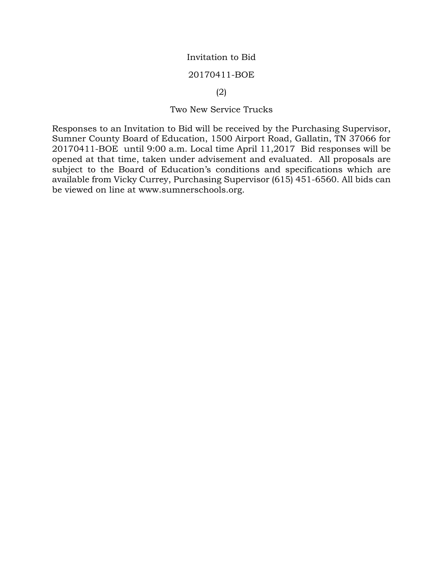## Invitation to Bid

### 20170411-BOE

### (2)

## Two New Service Trucks

Responses to an Invitation to Bid will be received by the Purchasing Supervisor, Sumner County Board of Education, 1500 Airport Road, Gallatin, TN 37066 for 20170411-BOE until 9:00 a.m. Local time April 11,2017 Bid responses will be opened at that time, taken under advisement and evaluated. All proposals are subject to the Board of Education's conditions and specifications which are available from Vicky Currey, Purchasing Supervisor (615) 451-6560. All bids can be viewed on line at www.sumnerschools.org.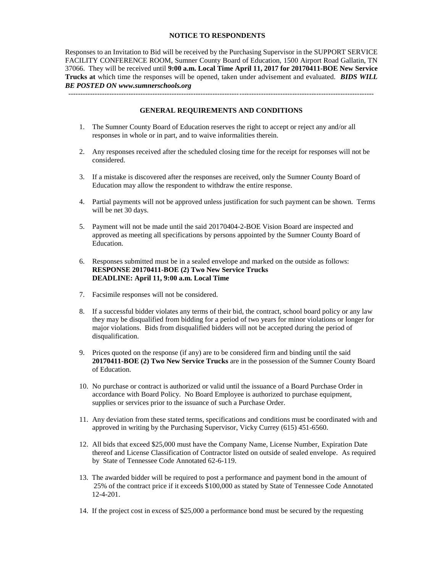#### **NOTICE TO RESPONDENTS**

Responses to an Invitation to Bid will be received by the Purchasing Supervisor in the SUPPORT SERVICE FACILITY CONFERENCE ROOM, Sumner County Board of Education, 1500 Airport Road Gallatin, TN 37066. They will be received until **9:00 a.m. Local Time April 11, 2017 for 20170411-BOE New Service Trucks at** which time the responses will be opened, taken under advisement and evaluated. *BIDS WILL BE POSTED ON www.sumnerschools.org*

**GENERAL REQUIREMENTS AND CONDITIONS**

-------------------------------------------------------------------------------------------------------------------------------

- 1. The Sumner County Board of Education reserves the right to accept or reject any and/or all responses in whole or in part, and to waive informalities therein.
- 2. Any responses received after the scheduled closing time for the receipt for responses will not be considered.
- 3. If a mistake is discovered after the responses are received, only the Sumner County Board of Education may allow the respondent to withdraw the entire response.
- 4. Partial payments will not be approved unless justification for such payment can be shown. Terms will be net 30 days.
- 5. Payment will not be made until the said 20170404-2-BOE Vision Board are inspected and approved as meeting all specifications by persons appointed by the Sumner County Board of Education.
- 6. Responses submitted must be in a sealed envelope and marked on the outside as follows: **RESPONSE 20170411-BOE (2) Two New Service Trucks DEADLINE: April 11, 9:00 a.m. Local Time**
- 7. Facsimile responses will not be considered.
- 8. If a successful bidder violates any terms of their bid, the contract, school board policy or any law they may be disqualified from bidding for a period of two years for minor violations or longer for major violations. Bids from disqualified bidders will not be accepted during the period of disqualification.
- 9. Prices quoted on the response (if any) are to be considered firm and binding until the said **20170411-BOE (2) Two New Service Trucks** are in the possession of the Sumner County Board of Education.
- 10. No purchase or contract is authorized or valid until the issuance of a Board Purchase Order in accordance with Board Policy. No Board Employee is authorized to purchase equipment, supplies or services prior to the issuance of such a Purchase Order.
- 11. Any deviation from these stated terms, specifications and conditions must be coordinated with and approved in writing by the Purchasing Supervisor, Vicky Currey (615) 451-6560.
- 12. All bids that exceed \$25,000 must have the Company Name, License Number, Expiration Date thereof and License Classification of Contractor listed on outside of sealed envelope. As required by State of Tennessee Code Annotated 62-6-119.
- 13. The awarded bidder will be required to post a performance and payment bond in the amount of 25% of the contract price if it exceeds \$100,000 as stated by State of Tennessee Code Annotated 12-4-201.
- 14. If the project cost in excess of \$25,000 a performance bond must be secured by the requesting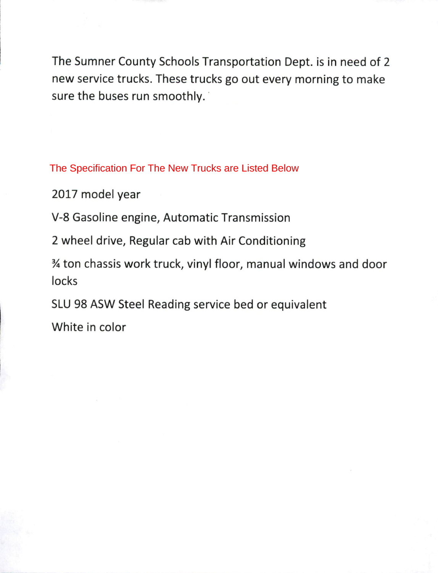The Sumner County Schools Transportation Dept. is in need of 2 new service trucks. These trucks go out every morning to make sure the buses run smoothly.

The Specification For The New Trucks are Listed Below

2017 model year

V-8 Gasoline engine, Automatic Transmission

2 wheel drive, Regular cab with Air Conditioning

3⁄4 ton chassis work truck, vinyl floor, manual windows and door locks

SLU 98 ASW Steel Reading service bed or equivalent

White in color